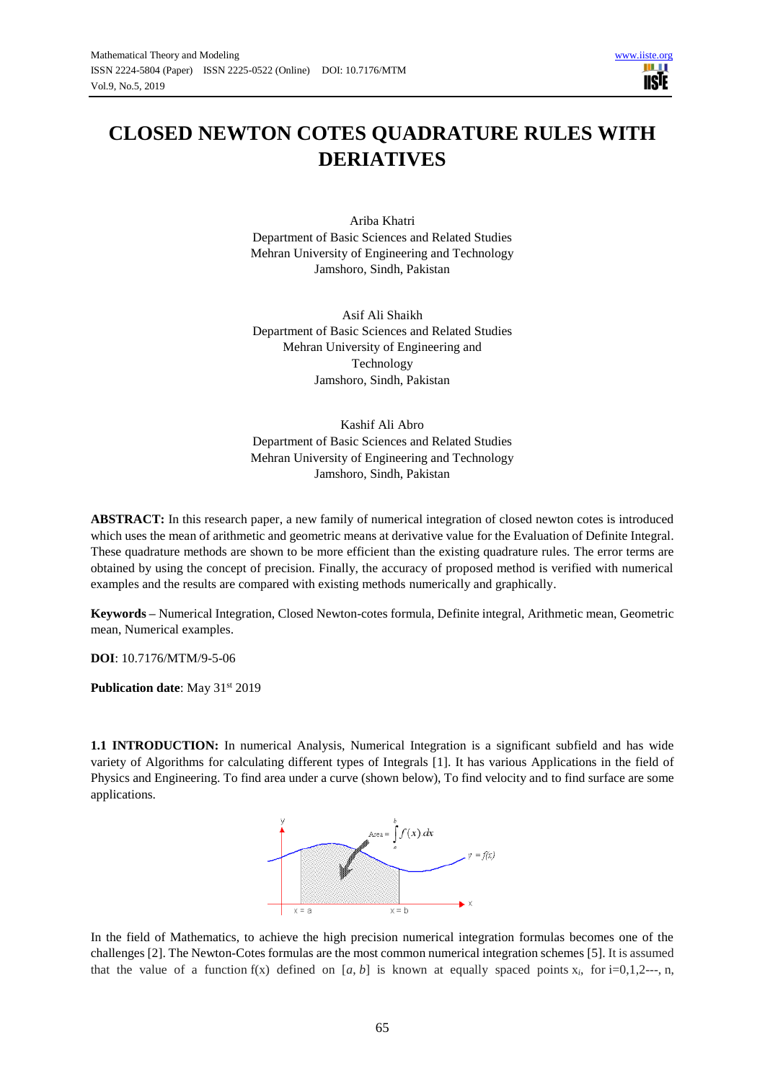

# **CLOSED NEWTON COTES QUADRATURE RULES WITH DERIATIVES**

Ariba Khatri Department of Basic Sciences and Related Studies Mehran University of Engineering and Technology Jamshoro, Sindh, Pakistan

Asif Ali Shaikh Department of Basic Sciences and Related Studies Mehran University of Engineering and Technology Jamshoro, Sindh, Pakistan

Kashif Ali Abro Department of Basic Sciences and Related Studies Mehran University of Engineering and Technology Jamshoro, Sindh, Pakistan

**ABSTRACT:** In this research paper, a new family of numerical integration of closed newton cotes is introduced which uses the mean of arithmetic and geometric means at derivative value for the Evaluation of Definite Integral. These quadrature methods are shown to be more efficient than the existing quadrature rules. The error terms are obtained by using the concept of precision. Finally, the accuracy of proposed method is verified with numerical examples and the results are compared with existing methods numerically and graphically.

**Keywords –** Numerical Integration, Closed Newton-cotes formula, Definite integral, Arithmetic mean, Geometric mean, Numerical examples.

**DOI**: 10.7176/MTM/9-5-06

**Publication date:** May 31<sup>st</sup> 2019

**1.1 INTRODUCTION:** In numerical Analysis, Numerical Integration is a significant subfield and has wide variety of Algorithms for calculating different types of Integrals [1]. It has various Applications in the field of Physics and Engineering. To find area under a curve (shown below), To find velocity and to find surface are some applications.



In the field of Mathematics, to achieve the high precision numerical integration formulas becomes one of the challenges [2]. The Newton-Cotes formulas are the most common numerical integration schemes [5]. It is assumed that the value of a function  $f(x)$  defined on [a, b] is known at equally spaced points  $x_i$ , for i=0,1,2---, n,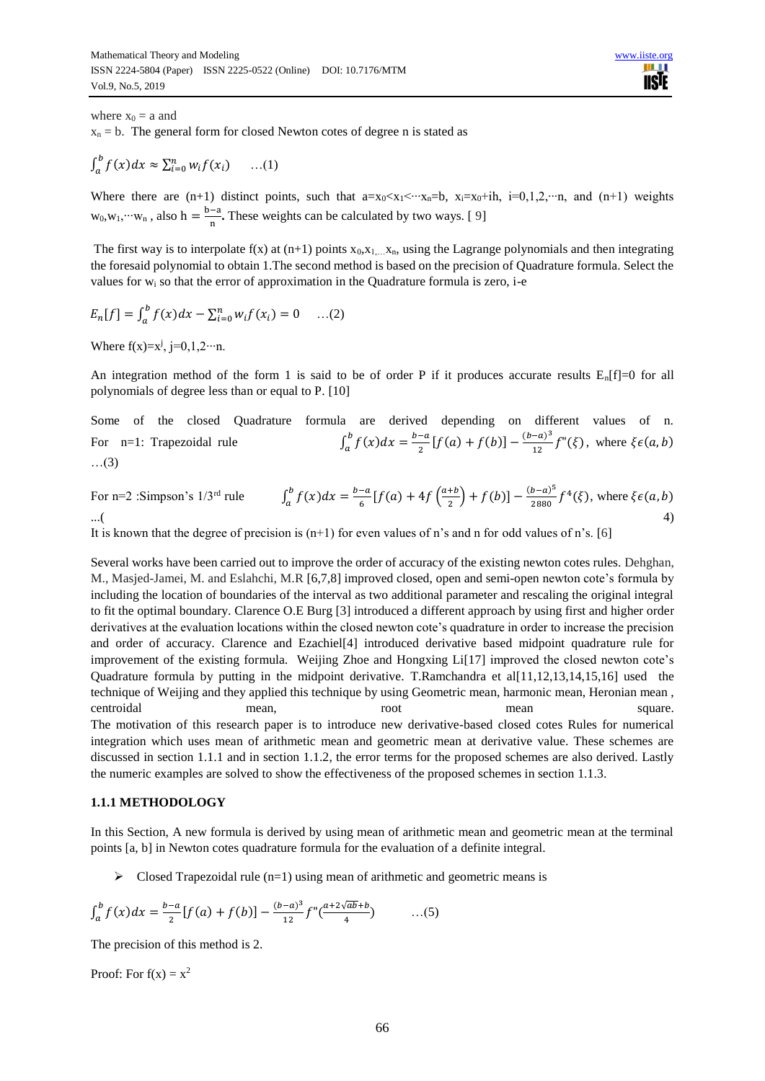where  $x_0 = a$  and

 $x_n = b$ . The general form for closed Newton cotes of degree n is stated as

$$
\int_a^b f(x)dx \approx \sum_{i=0}^n w_i f(x_i) \qquad \dots (1)
$$

Where there are (n+1) distinct points, such that  $a=x_0 < x_1 < ··· x_n=b$ ,  $x_i=x_0+ih$ ,  $i=0,1,2, ···n$ , and (n+1) weights  $w_0, w_1,$ … $w_n$ , also h =  $\frac{b-a}{n}$  $\frac{-a}{n}$ . These weights can be calculated by two ways. [9]

The first way is to interpolate  $f(x)$  at (n+1) points  $x_0, x_1, \ldots, x_n$ , using the Lagrange polynomials and then integrating the foresaid polynomial to obtain 1.The second method is based on the precision of Quadrature formula. Select the values for  $w_i$  so that the error of approximation in the Quadrature formula is zero, i-e

$$
E_n[f] = \int_a^b f(x)dx - \sum_{i=0}^n w_i f(x_i) = 0 \quad ...(2)
$$

Where  $f(x)=x^j$ , j=0,1,2…n.

An integration method of the form 1 is said to be of order P if it produces accurate results  $E_n[f]=0$  for all polynomials of degree less than or equal to P. [10]

Some of the closed Quadrature formula are derived depending on different values of n. For n=1: Trapezoidal rule  $b-a$  $\frac{-a}{2}[f(a) + f(b)] - \frac{(b-a)^3}{12}$  $\int_a^b f(x)dx = \frac{b-a}{2}[f(a) + f(b)] - \frac{(b-a)^3}{12}f''(\xi)$  $\int_{a}^{b} f(x)dx = \frac{b-a}{2}[f(a) + f(b)] - \frac{b-a}{12}f''(\xi)$ , where  $\xi \in (a, b)$ …(3)

For n=2 :Simpson's 1/3<sup>rd</sup> rule 
$$
\int_a^b f(x)dx = \frac{b-a}{6}[f(a) + 4f(\frac{a+b}{2}) + f(b)] - \frac{(b-a)^5}{2880}f^4(\xi), \text{ where } \xi \in (a, b)
$$
  
...(

It is known that the degree of precision is  $(n+1)$  for even values of n's and n for odd values of n's. [6]

Several works have been carried out to improve the order of accuracy of the existing newton cotes rules. Dehghan, M., Masjed-Jamei, M. and Eslahchi, M.R [6,7,8] improved closed, open and semi-open newton cote's formula by including the location of boundaries of the interval as two additional parameter and rescaling the original integral to fit the optimal boundary. Clarence O.E Burg [3] introduced a different approach by using first and higher order derivatives at the evaluation locations within the closed newton cote's quadrature in order to increase the precision and order of accuracy. Clarence and Ezachiel[4] introduced derivative based midpoint quadrature rule for improvement of the existing formula. Weijing Zhoe and Hongxing Li[17] improved the closed newton cote's Quadrature formula by putting in the midpoint derivative. T.Ramchandra et al[11,12,13,14,15,16] used the technique of Weijing and they applied this technique by using Geometric mean, harmonic mean, Heronian mean , centroidal mean, mean square. The motivation of this research paper is to introduce new derivative-based closed cotes Rules for numerical integration which uses mean of arithmetic mean and geometric mean at derivative value. These schemes are discussed in section 1.1.1 and in section 1.1.2, the error terms for the proposed schemes are also derived. Lastly the numeric examples are solved to show the effectiveness of the proposed schemes in section 1.1.3.

#### **1.1.1 METHODOLOGY**

In this Section, A new formula is derived by using mean of arithmetic mean and geometric mean at the terminal points [a, b] in Newton cotes quadrature formula for the evaluation of a definite integral.

 $\triangleright$  Closed Trapezoidal rule (n=1) using mean of arithmetic and geometric means is

$$
\int_{a}^{b} f(x)dx = \frac{b-a}{2} [f(a) + f(b)] - \frac{(b-a)^3}{12} f''(\frac{a+2\sqrt{ab}+b}{4}) \quad ...(5)
$$

The precision of this method is 2.

Proof: For  $f(x) = x^2$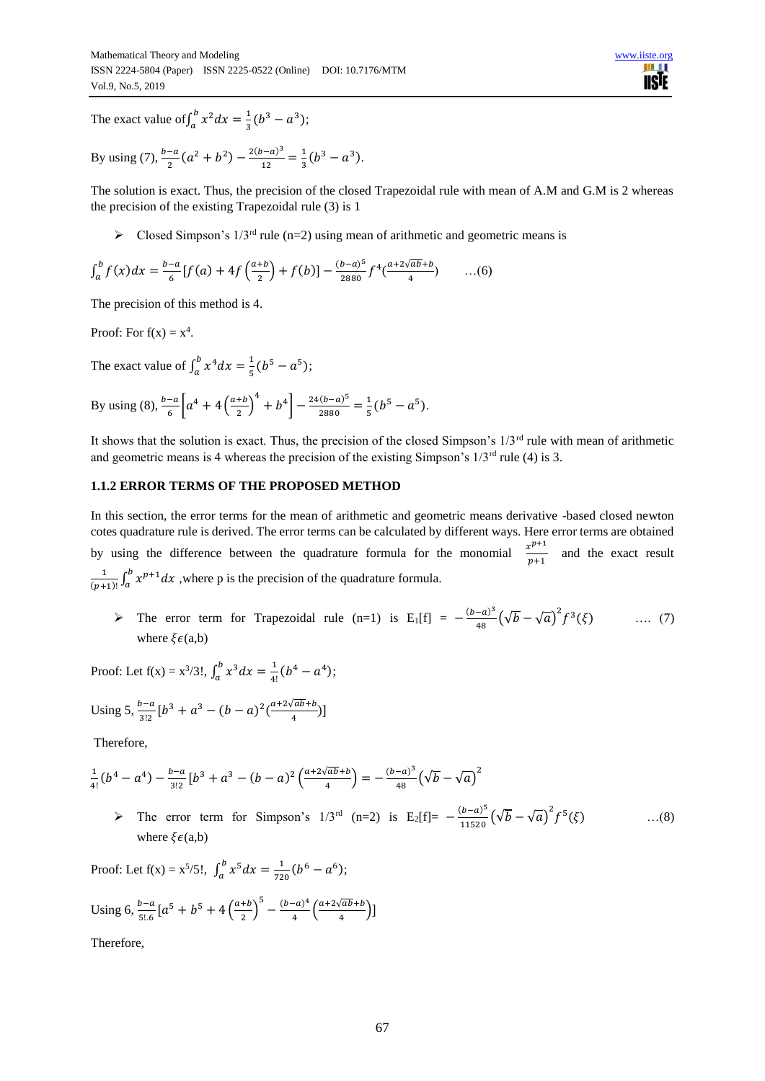n m **IISTE** 

The exact value of  $\int_{a}^{b} x^2 dx = \frac{1}{2}$  $\int_a^b x^2 dx = \frac{1}{3}(b^3 - a^3)$  $\int_{a}^{b} x^2 dx = \frac{1}{3}(b^3 - a^3);$ 

By using (7), 
$$
\frac{b-a}{2}(a^2 + b^2) - \frac{2(b-a)^3}{12} = \frac{1}{3}(b^3 - a^3)
$$
.

The solution is exact. Thus, the precision of the closed Trapezoidal rule with mean of A.M and G.M is 2 whereas the precision of the existing Trapezoidal rule (3) is 1

 $\triangleright$  Closed Simpson's 1/3<sup>rd</sup> rule (n=2) using mean of arithmetic and geometric means is

$$
\int_{a}^{b} f(x)dx = \frac{b-a}{6} [f(a) + 4f(\frac{a+b}{2}) + f(b)] - \frac{(b-a)^5}{2880} f^4(\frac{a+2\sqrt{ab}+b}{4}) \qquad \dots (6)
$$

The precision of this method is 4.

Proof: For  $f(x) = x^4$ .

The exact value of  $\int_{a}^{b} x^4 dx = \frac{1}{b}$  $\int_a^b x^4 dx = \frac{1}{5} (b^5 - a^5)$  $\int_{a}^{b} x^{4} dx = \frac{1}{5} (b^{5} - a^{5});$ 

By using (8), 
$$
\frac{b-a}{6}\left[a^4 + 4\left(\frac{a+b}{2}\right)^4 + b^4\right] - \frac{24(b-a)^5}{2880} = \frac{1}{5}(b^5 - a^5).
$$

It shows that the solution is exact. Thus, the precision of the closed Simpson's  $1/3<sup>rd</sup>$  rule with mean of arithmetic and geometric means is 4 whereas the precision of the existing Simpson's  $1/3^{rd}$  rule (4) is 3.

### **1.1.2 ERROR TERMS OF THE PROPOSED METHOD**

In this section, the error terms for the mean of arithmetic and geometric means derivative -based closed newton cotes quadrature rule is derived. The error terms can be calculated by different ways. Here error terms are obtained by using the difference between the quadrature formula for the monomial  $\frac{x^{p+1}}{x^{p+1}}$  $\frac{x}{p+1}$  and the exact result 1  $\frac{1}{(p+1)!} \int_a^b x^{p+1} dx$ , where p is the precision of the quadrature formula.

> The error term for Trapezoidal rule (n=1) is E<sub>1</sub>[f] =  $-\frac{(b-a)^3}{40}$  $\frac{(-a)^3}{48}(\sqrt{b}-\sqrt{a})^2 f^3(\xi)$  .... (7) where  $\xi \in (a,b)$ 

Proof: Let  $f(x) = x^3/3!$ ,  $\int_a^b x^3 dx = \frac{1}{4}$  $\int_a^b x^3 dx = \frac{1}{4!} (b^4 - a^4)$  $\int_{a}^{b} x^{3} dx = \frac{1}{4!} (b^{4} - a^{4});$ 

Using 
$$
5, \frac{b-a}{3!2} [b^3 + a^3 - (b-a)^2 (\frac{a+2\sqrt{ab}+b}{4})]
$$

Therefore,

$$
\frac{1}{4!}(b^4 - a^4) - \frac{b-a}{3!2}[b^3 + a^3 - (b-a)^2 \left(\frac{a+2\sqrt{ab}+b}{4}\right) = -\frac{(b-a)^3}{48}\left(\sqrt{b}-\sqrt{a}\right)^2
$$

> The error term for Simpson's  $1/3^{\text{rd}}$  (n=2) is E<sub>2</sub>[f]=  $-\frac{(b-a)^5}{44520}$  $\frac{(b-a)^5}{11520}(\sqrt{b}-\sqrt{a})^2f^5$  $\dots(8)$ where  $\mathcal{E}(\mathbf{a},\mathbf{b})$ 

Proof: Let  $f(x) = x^5/5!$ ,  $\int_a^b x^5 dx = \frac{1}{72}$  $\int_a^b x^5 dx = \frac{1}{720} (b^6 - a^6)$  $\int_{a}^{b} x^5 dx = \frac{1}{720} (b^6 - a^6);$ 

Using 6, 
$$
\frac{b-a}{5!6} [a^5 + b^5 + 4 \left(\frac{a+b}{2}\right)^5 - \frac{(b-a)^4}{4} \left(\frac{a+2\sqrt{ab}+b}{4}\right)]
$$

Therefore,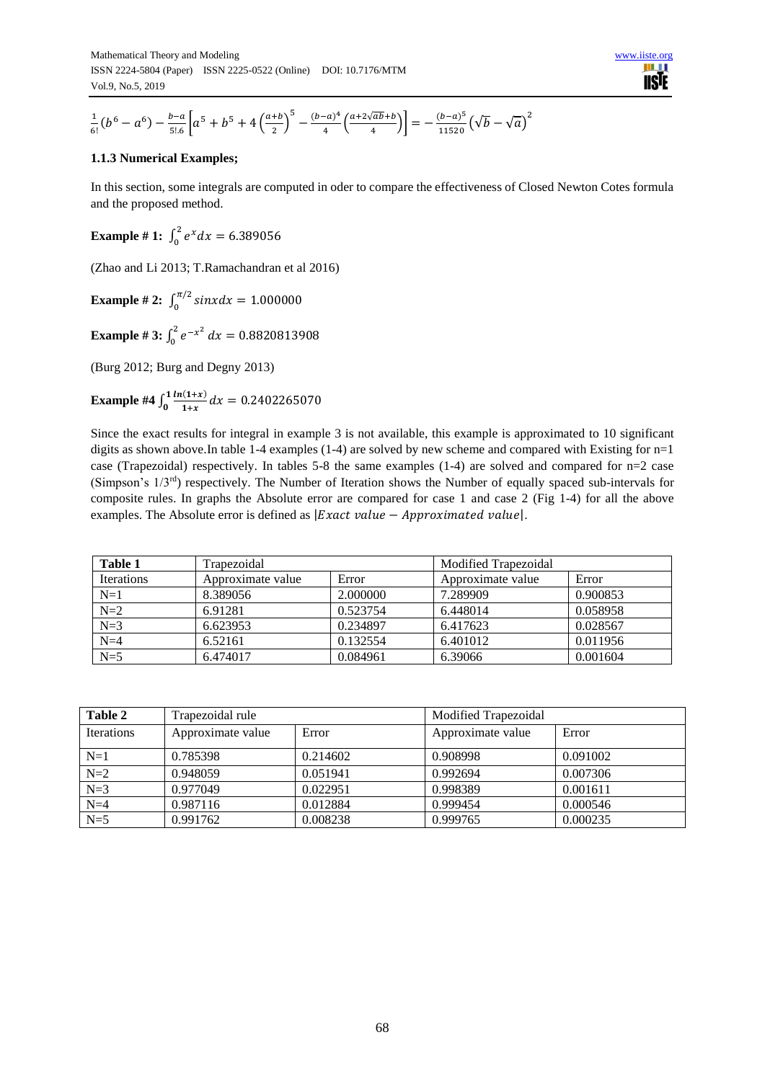$$
\frac{1}{6!} (b^6 - a^6) - \frac{b-a}{5!} \left[ a^5 + b^5 + 4 \left( \frac{a+b}{2} \right)^5 - \frac{(b-a)^4}{4} \left( \frac{a+2\sqrt{ab}+b}{4} \right) \right] = -\frac{(b-a)^5}{11520} \left( \sqrt{b} - \sqrt{a} \right)^2
$$

## **1.1.3 Numerical Examples;**

In this section, some integrals are computed in oder to compare the effectiveness of Closed Newton Cotes formula and the proposed method.

**Example # 1:**  $\int_0^2 e^x dx = 6.389056$ 

(Zhao and Li 2013; T.Ramachandran et al 2016)

**Example #2:**  $\int_0^{\pi/2} \sin x dx = 1.000000$ 

**Example** # 3:  $\int_0^2 e^{-x^2} dx$  $\int_0^2 e^{-x^2} dx = 0.8820813908$ 

(Burg 2012; Burg and Degny 2013)

**Example #4**  $\int_0^1 \frac{\ln(1+x)}{1+x}$  $\int_0^1 \frac{\ln(1+x)}{1+x} dx = 0.2402265070$ 

Since the exact results for integral in example 3 is not available, this example is approximated to 10 significant digits as shown above.In table 1-4 examples (1-4) are solved by new scheme and compared with Existing for n=1 case (Trapezoidal) respectively. In tables 5-8 the same examples (1-4) are solved and compared for n=2 case (Simpson's 1/3rd) respectively. The Number of Iteration shows the Number of equally spaced sub-intervals for composite rules. In graphs the Absolute error are compared for case 1 and case 2 (Fig 1-4) for all the above examples. The Absolute error is defined as  $|Exact\ value - Approximated\ value|$ .

| Table 1           | Trapezoidal       |          |                   | Modified Trapezoidal |  |
|-------------------|-------------------|----------|-------------------|----------------------|--|
| <b>Iterations</b> | Approximate value | Error    | Approximate value | Error                |  |
| $N=1$             | 8.389056          | 2.000000 | 7.289909          | 0.900853             |  |
| $N=2$             | 6.91281           | 0.523754 | 6.448014          | 0.058958             |  |
| $N=3$             | 6.623953          | 0.234897 | 6.417623          | 0.028567             |  |
| $N=4$             | 6.52161           | 0.132554 | 6.401012          | 0.011956             |  |
| $N=5$             | 6.474017          | 0.084961 | 6.39066           | 0.001604             |  |

| Table 2           | Trapezoidal rule  |          | Modified Trapezoidal |          |
|-------------------|-------------------|----------|----------------------|----------|
| <b>Iterations</b> | Approximate value | Error    | Approximate value    | Error    |
| $N=1$             | 0.785398          | 0.214602 | 0.908998             | 0.091002 |
| $N=2$             | 0.948059          | 0.051941 | 0.992694             | 0.007306 |
| $N=3$             | 0.977049          | 0.022951 | 0.998389             | 0.001611 |
| $N=4$             | 0.987116          | 0.012884 | 0.999454             | 0.000546 |
| $N=5$             | 0.991762          | 0.008238 | 0.999765             | 0.000235 |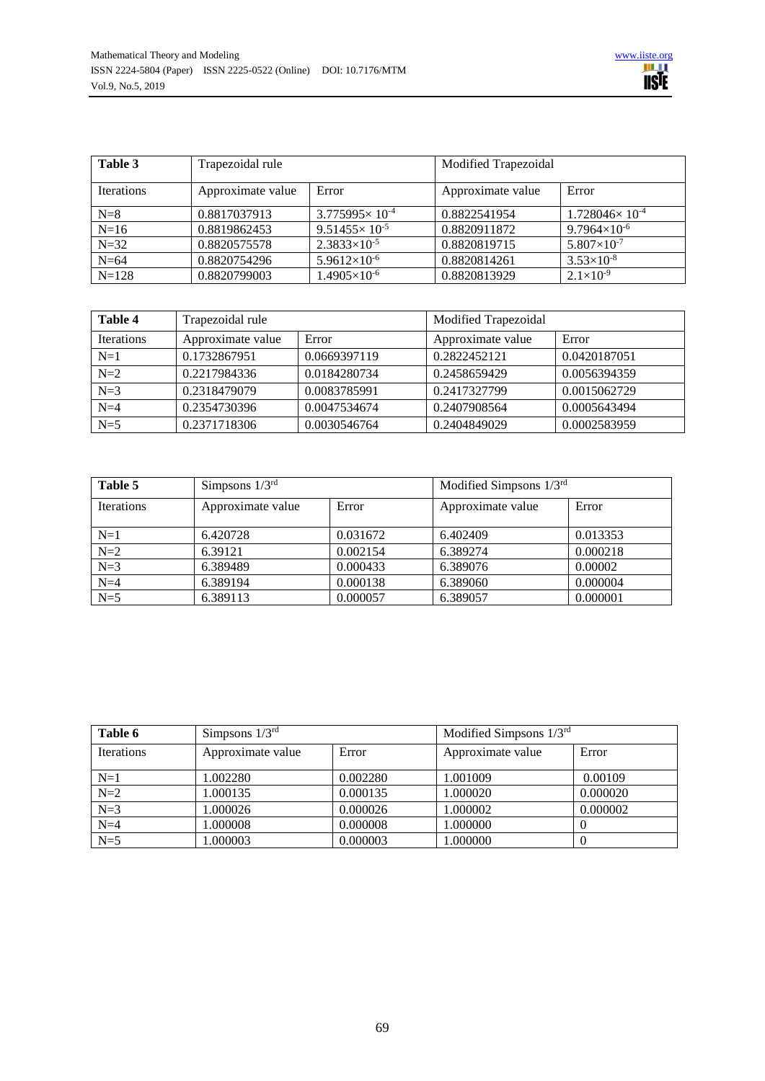

| Table 3           | Trapezoidal rule  |                           | Modified Trapezoidal |                          |
|-------------------|-------------------|---------------------------|----------------------|--------------------------|
| <b>Iterations</b> | Approximate value | Error                     | Approximate value    | Error                    |
| $N=8$             | 0.8817037913      | $3.775995 \times 10^{-4}$ | 0.8822541954         | $1.728046\times 10^{-4}$ |
| $N=16$            | 0.8819862453      | $9.51455 \times 10^{-5}$  | 0.8820911872         | $9.7964\times10^{-6}$    |
| $N = 32$          | 0.8820575578      | $2.3833 \times 10^{-5}$   | 0.8820819715         | $5.807\times10^{-7}$     |
| $N=64$            | 0.8820754296      | $5.9612\times10^{-6}$     | 0.8820814261         | $3.53\times10^{-8}$      |
| $N = 128$         | 0.8820799003      | $1.4905\times10^{-6}$     | 0.8820813929         | $2.1\times10^{-9}$       |

| Table 4           | Trapezoidal rule  |              | Modified Trapezoidal |              |
|-------------------|-------------------|--------------|----------------------|--------------|
| <b>Iterations</b> | Approximate value | Error        | Approximate value    | Error        |
| $N=1$             | 0.1732867951      | 0.0669397119 | 0.2822452121         | 0.0420187051 |
| $N=2$             | 0.2217984336      | 0.0184280734 | 0.2458659429         | 0.0056394359 |
| $N=3$             | 0.2318479079      | 0.0083785991 | 0.2417327799         | 0.0015062729 |
| $N=4$             | 0.2354730396      | 0.0047534674 | 0.2407908564         | 0.0005643494 |
| $N=5$             | 0.2371718306      | 0.0030546764 | 0.2404849029         | 0.0002583959 |

| Table 5           | Simpsons $1/3^{rd}$ |          | Modified Simpsons $1/3^{rd}$ |          |
|-------------------|---------------------|----------|------------------------------|----------|
| <b>Iterations</b> | Approximate value   | Error    | Approximate value            | Error    |
| $N=1$             | 6.420728            | 0.031672 | 6.402409                     | 0.013353 |
| $N=2$             | 6.39121             | 0.002154 | 6.389274                     | 0.000218 |
| $N=3$             | 6.389489            | 0.000433 | 6.389076                     | 0.00002  |
| $N=4$             | 6.389194            | 0.000138 | 6.389060                     | 0.000004 |
| $N=5$             | 6.389113            | 0.000057 | 6.389057                     | 0.000001 |

| Table 6           | Simpsons $1/3^{rd}$ |          | Modified Simpsons $1/3^{rd}$ |          |
|-------------------|---------------------|----------|------------------------------|----------|
| <b>Iterations</b> | Approximate value   | Error    | Approximate value            | Error    |
| $N=1$             | 1.002280            | 0.002280 | 1.001009                     | 0.00109  |
| $N=2$             | 1.000135            | 0.000135 | 1.000020                     | 0.000020 |
| $N=3$             | 1.000026            | 0.000026 | 1.000002                     | 0.000002 |
| $N=4$             | 1.000008            | 0.000008 | 1.000000                     |          |
| $N=5$             | 1.000003            | 0.000003 | 1.000000                     |          |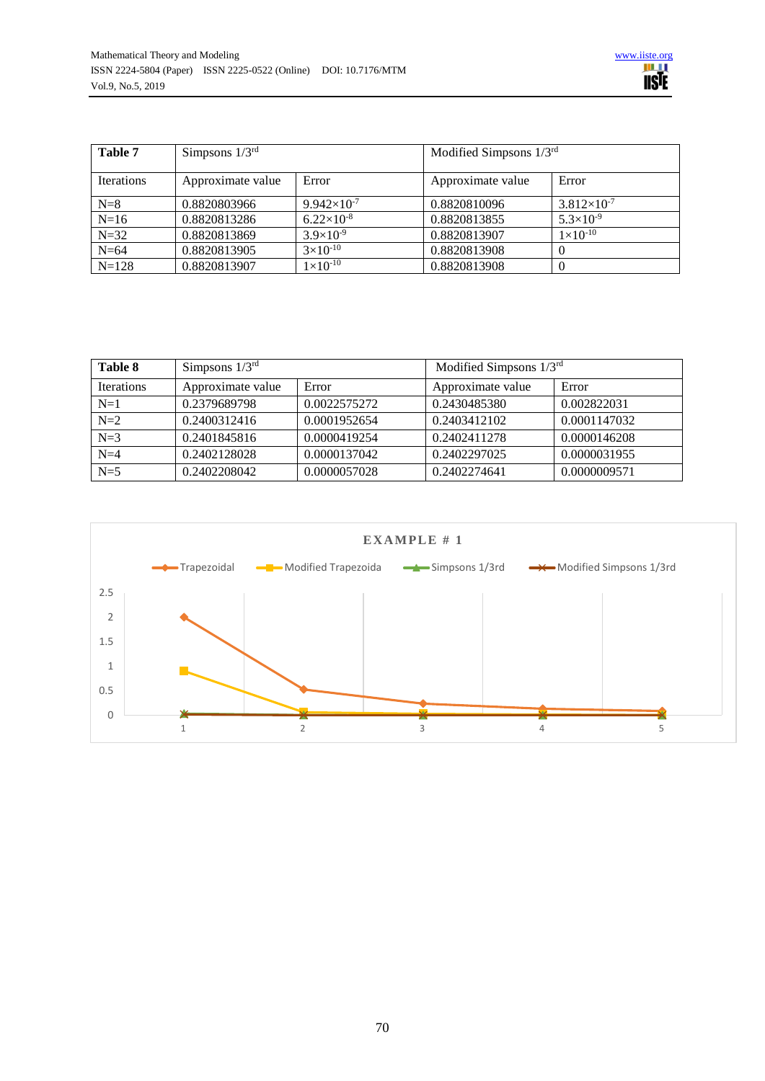| Table 7           | Simpsons $1/3^{rd}$ |                      | Modified Simpsons $1/3^{rd}$ |                      |
|-------------------|---------------------|----------------------|------------------------------|----------------------|
| <b>Iterations</b> | Approximate value   | Error                | Approximate value            | Error                |
| $N=8$             | 0.8820803966        | $9.942\times10^{-7}$ | 0.8820810096                 | $3.812\times10^{-7}$ |
| $N=16$            | 0.8820813286        | $6.22\times10^{-8}$  | 0.8820813855                 | $5.3\times10^{-9}$   |
| $N = 32$          | 0.8820813869        | $3.9\times10^{-9}$   | 0.8820813907                 | $1\times10^{-10}$    |
| $N=64$            | 0.8820813905        | $3\times10^{-10}$    | 0.8820813908                 |                      |
| $N = 128$         | 0.8820813907        | $1 \times 10^{-10}$  | 0.8820813908                 |                      |

| Table 8           | Simpsons $1/3^{rd}$ |              | Modified Simpsons $1/3^{rd}$ |              |
|-------------------|---------------------|--------------|------------------------------|--------------|
| <b>Iterations</b> | Approximate value   | Error        | Approximate value            | Error        |
| $N=1$             | 0.2379689798        | 0.0022575272 | 0.2430485380                 | 0.002822031  |
| $N=2$             | 0.2400312416        | 0.0001952654 | 0.2403412102                 | 0.0001147032 |
| $N=3$             | 0.2401845816        | 0.0000419254 | 0.2402411278                 | 0.0000146208 |
| $N=4$             | 0.2402128028        | 0.0000137042 | 0.2402297025                 | 0.0000031955 |
| $N=5$             | 0.2402208042        | 0.0000057028 | 0.2402274641                 | 0.0000009571 |

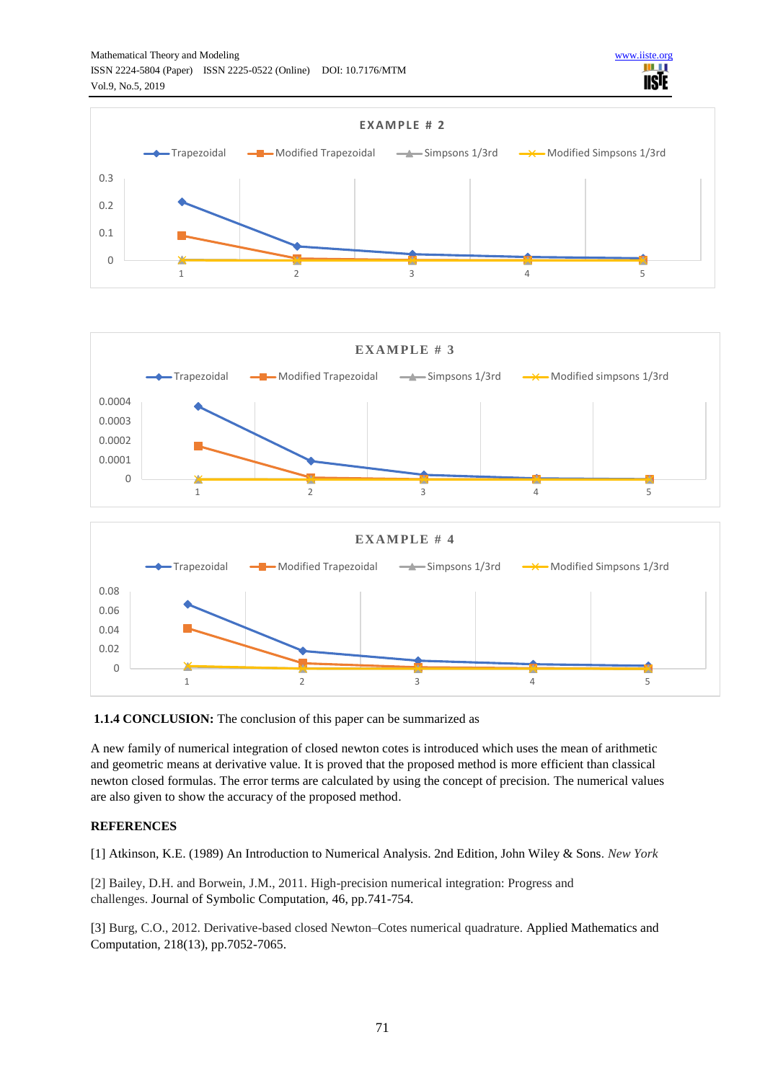

n m **IISIE** 



**1.1.4 CONCLUSION:** The conclusion of this paper can be summarized as

A new family of numerical integration of closed newton cotes is introduced which uses the mean of arithmetic and geometric means at derivative value. It is proved that the proposed method is more efficient than classical newton closed formulas. The error terms are calculated by using the concept of precision. The numerical values are also given to show the accuracy of the proposed method.

## **REFERENCES**

[1] Atkinson, K.E. (1989) An Introduction to Numerical Analysis. 2nd Edition, John Wiley & Sons. *New York*

[2] Bailey, D.H. and Borwein, J.M., 2011. High-precision numerical integration: Progress and challenges. Journal of Symbolic Computation, 46, pp.741-754.

[3] Burg, C.O., 2012. Derivative-based closed Newton–Cotes numerical quadrature. Applied Mathematics and Computation, 218(13), pp.7052-7065.